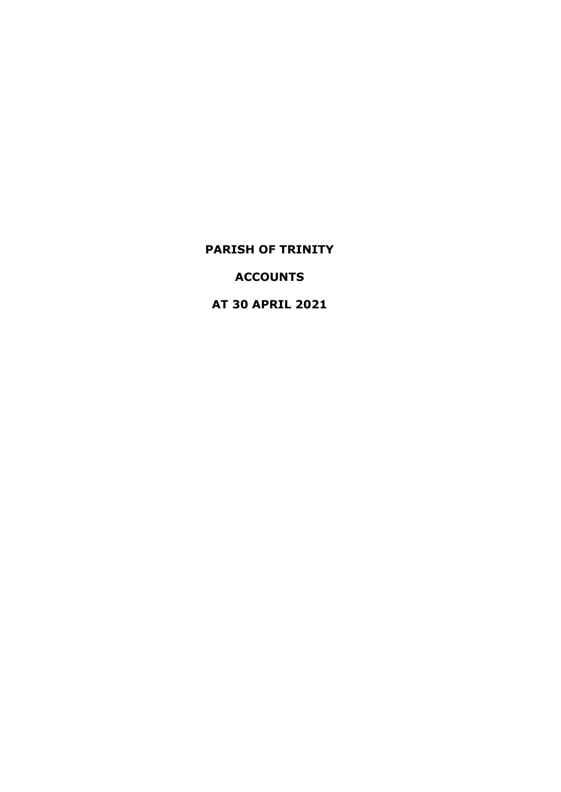# **ACCOUNTS**

**AT 30 APRIL 2021**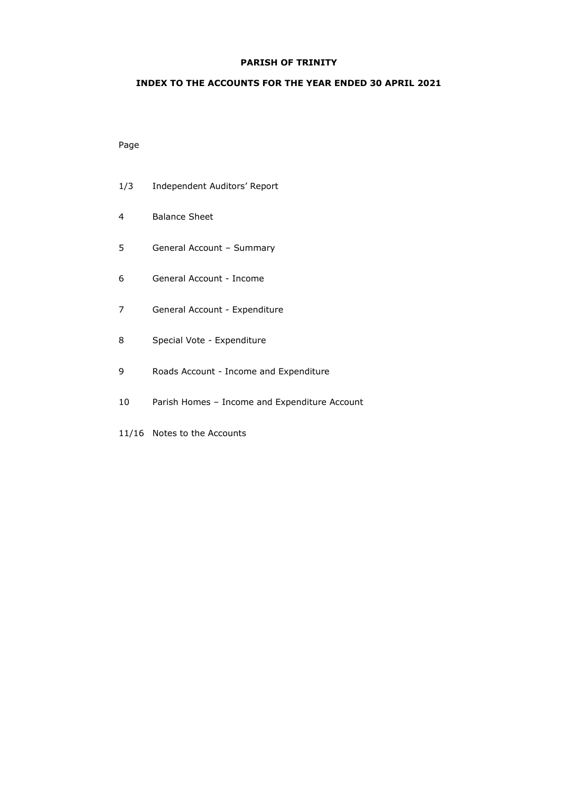### **INDEX TO THE ACCOUNTS FOR THE YEAR ENDED 30 APRIL 2021**

## Page

- 1/3 Independent Auditors' Report
- 4 Balance Sheet
- 5 General Account Summary
- 6 General Account Income
- 7 General Account Expenditure
- 8 Special Vote Expenditure
- 9 Roads Account Income and Expenditure
- 10 Parish Homes Income and Expenditure Account
- 11/16 Notes to the Accounts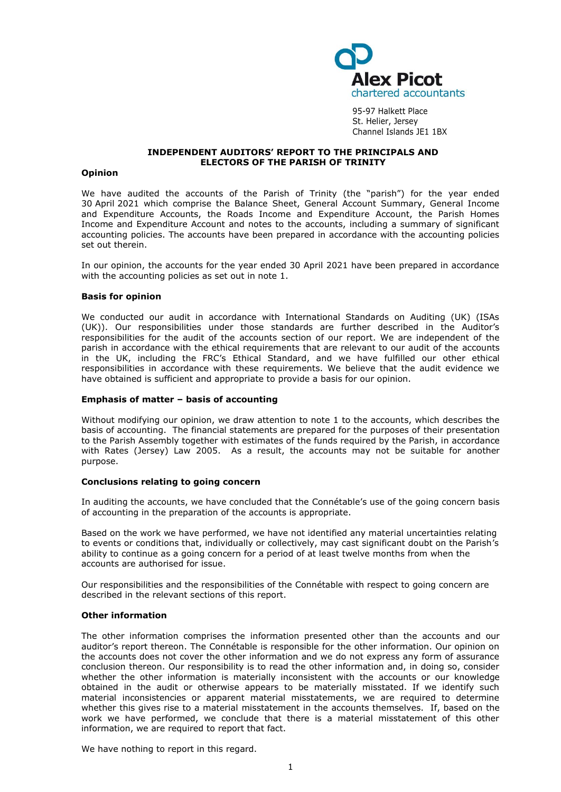

95-97 Halkett Place St. Helier, Jersey Channel Islands JE1 1BX

## **INDEPENDENT AUDITORS' REPORT TO THE PRINCIPALS AND ELECTORS OF THE PARISH OF TRINITY**

#### **Opinion**

We have audited the accounts of the Parish of Trinity (the "parish") for the year ended 30 April 2021 which comprise the Balance Sheet, General Account Summary, General Income and Expenditure Accounts, the Roads Income and Expenditure Account, the Parish Homes Income and Expenditure Account and notes to the accounts, including a summary of significant accounting policies. The accounts have been prepared in accordance with the accounting policies set out therein.

In our opinion, the accounts for the year ended 30 April 2021 have been prepared in accordance with the accounting policies as set out in note 1.

#### **Basis for opinion**

We conducted our audit in accordance with International Standards on Auditing (UK) (ISAs (UK)). Our responsibilities under those standards are further described in the Auditor's responsibilities for the audit of the accounts section of our report. We are independent of the parish in accordance with the ethical requirements that are relevant to our audit of the accounts in the UK, including the FRC's [Ethical Standard,](https://library.cch.co.uk/apbes2016r1) and we have fulfilled our other ethical responsibilities in accordance with these requirements. We believe that the audit evidence we have obtained is sufficient and appropriate to provide a basis for our opinion.

#### **Emphasis of matter – basis of accounting**

Without modifying our opinion, we draw attention to note 1 to the accounts, which describes the basis of accounting. The financial statements are prepared for the purposes of their presentation to the Parish Assembly together with estimates of the funds required by the Parish, in accordance with Rates (Jersey) Law 2005. As a result, the accounts may not be suitable for another purpose.

## **Conclusions relating to going concern**

In auditing the accounts, we have concluded that the Connétable's use of the going concern basis of accounting in the preparation of the accounts is appropriate.

Based on the work we have performed, we have not identified any material uncertainties relating to events or conditions that, individually or collectively, may cast significant doubt on the Parish's ability to continue as a going concern for a period of at least twelve months from when the accounts are authorised for issue.

Our responsibilities and the responsibilities of the Connétable with respect to going concern are described in the relevant sections of this report.

## **Other information**

The other information comprises the information presented other than the accounts and our auditor's report thereon. The Connétable is responsible for the other information. Our opinion on the accounts does not cover the other information and we do not express any form of assurance conclusion thereon. Our responsibility is to read the other information and, in doing so, consider whether the other information is materially inconsistent with the accounts or our knowledge obtained in the audit or otherwise appears to be materially misstated. If we identify such material inconsistencies or apparent material misstatements, we are required to determine whether this gives rise to a material misstatement in the accounts themselves. If, based on the work we have performed, we conclude that there is a material misstatement of this other information, we are required to report that fact.

We have nothing to report in this regard.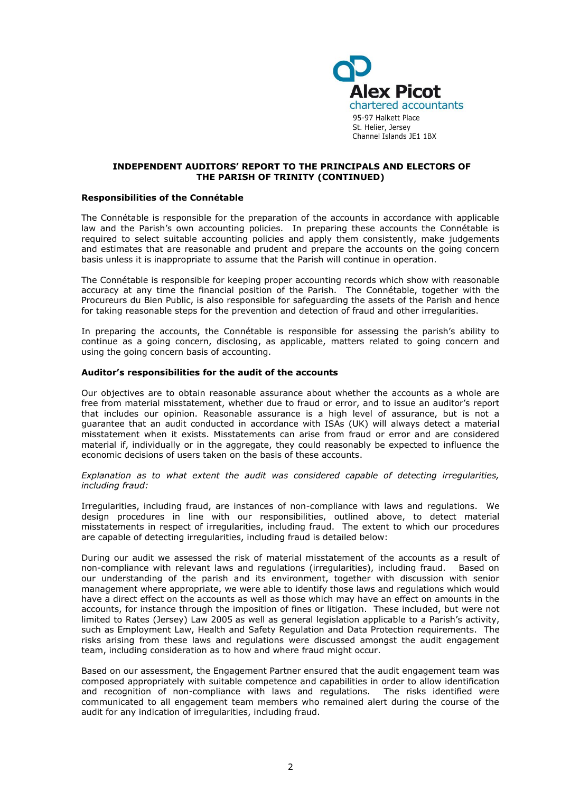

#### **INDEPENDENT AUDITORS' REPORT TO THE PRINCIPALS AND ELECTORS OF THE PARISH OF TRINITY (CONTINUED)**

#### **Responsibilities of the Connétable**

The Connétable is responsible for the preparation of the accounts in accordance with applicable law and the Parish's own accounting policies. In preparing these accounts the Connétable is required to select suitable accounting policies and apply them consistently, make judgements and estimates that are reasonable and prudent and prepare the accounts on the going concern basis unless it is inappropriate to assume that the Parish will continue in operation.

The Connétable is responsible for keeping proper accounting records which show with reasonable accuracy at any time the financial position of the Parish. The Connétable, together with the Procureurs du Bien Public, is also responsible for safeguarding the assets of the Parish and hence for taking reasonable steps for the prevention and detection of fraud and other irregularities.

In preparing the accounts, the Connétable is responsible for assessing the parish's ability to continue as a going concern, disclosing, as applicable, matters related to going concern and using the going concern basis of accounting.

#### **Auditor's responsibilities for the audit of the accounts**

Our objectives are to obtain reasonable assurance about whether the accounts as a whole are free from material misstatement, whether due to fraud or error, and to issue an auditor's report that includes our opinion. Reasonable assurance is a high level of assurance, but is not a guarantee that an audit conducted in accordance with ISAs (UK) will always detect a material misstatement when it exists. Misstatements can arise from fraud or error and are considered material if, individually or in the aggregate, they could reasonably be expected to influence the economic decisions of users taken on the basis of these accounts.

*Explanation as to what extent the audit was considered capable of detecting irregularities, including fraud:*

Irregularities, including fraud, are instances of non-compliance with laws and regulations. We design procedures in line with our responsibilities, outlined above, to detect material misstatements in respect of irregularities, including fraud. The extent to which our procedures are capable of detecting irregularities, including fraud is detailed below:

During our audit we assessed the risk of material misstatement of the accounts as a result of non-compliance with relevant laws and regulations (irregularities), including fraud. Based on our understanding of the parish and its environment, together with discussion with senior management where appropriate, we were able to identify those laws and regulations which would have a direct effect on the accounts as well as those which may have an effect on amounts in the accounts, for instance through the imposition of fines or litigation. These included, but were not limited to Rates (Jersey) Law 2005 as well as general legislation applicable to a Parish's activity, such as Employment Law, Health and Safety Regulation and Data Protection requirements. The risks arising from these laws and regulations were discussed amongst the audit engagement team, including consideration as to how and where fraud might occur.

Based on our assessment, the Engagement Partner ensured that the audit engagement team was composed appropriately with suitable competence and capabilities in order to allow identification and recognition of non-compliance with laws and regulations. The risks identified were communicated to all engagement team members who remained alert during the course of the audit for any indication of irregularities, including fraud.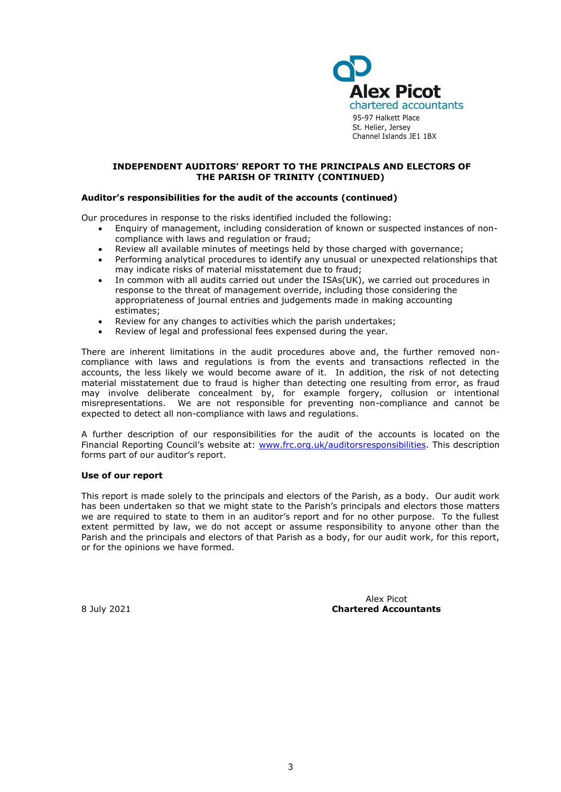

#### **INDEPENDENT AUDITORS' REPORT TO THE PRINCIPALS AND ELECTORS OF THE PARISH OF TRINITY (CONTINUED)**

### **Auditor's responsibilities for the audit of the accounts (continued)**

Our procedures in response to the risks identified included the following:

- Enquiry of management, including consideration of known or suspected instances of noncompliance with laws and regulation or fraud;
- Review all available minutes of meetings held by those charged with governance;
- Performing analytical procedures to identify any unusual or unexpected relationships that may indicate risks of material misstatement due to fraud;
- In common with all audits carried out under the ISAs(UK), we carried out procedures in response to the threat of management override, including those considering the appropriateness of journal entries and judgements made in making accounting estimates;
- Review for any changes to activities which the parish undertakes;
- Review of legal and professional fees expensed during the year.

There are inherent limitations in the audit procedures above and, the further removed noncompliance with laws and regulations is from the events and transactions reflected in the accounts, the less likely we would become aware of it. In addition, the risk of not detecting material misstatement due to fraud is higher than detecting one resulting from error, as fraud may involve deliberate concealment by, for example forgery, collusion or intentional misrepresentations. We are not responsible for preventing non-compliance and cannot be expected to detect all non-compliance with laws and regulations.

A further description of our responsibilities for the audit of the accounts is located on the Financial Reporting Council's website at: [www.frc.org.uk/auditorsresponsibilities.](http://www.frc.org.uk/auditorsresponsibilities) This description forms part of our auditor's report.

#### **Use of our report**

This report is made solely to the principals and electors of the Parish, as a body. Our audit work has been undertaken so that we might state to the Parish's principals and electors those matters we are required to state to them in an auditor's report and for no other purpose. To the fullest extent permitted by law, we do not accept or assume responsibility to anyone other than the Parish and the principals and electors of that Parish as a body, for our audit work, for this report, or for the opinions we have formed.

Alex Picot 8 July 2021 **Chartered Accountants**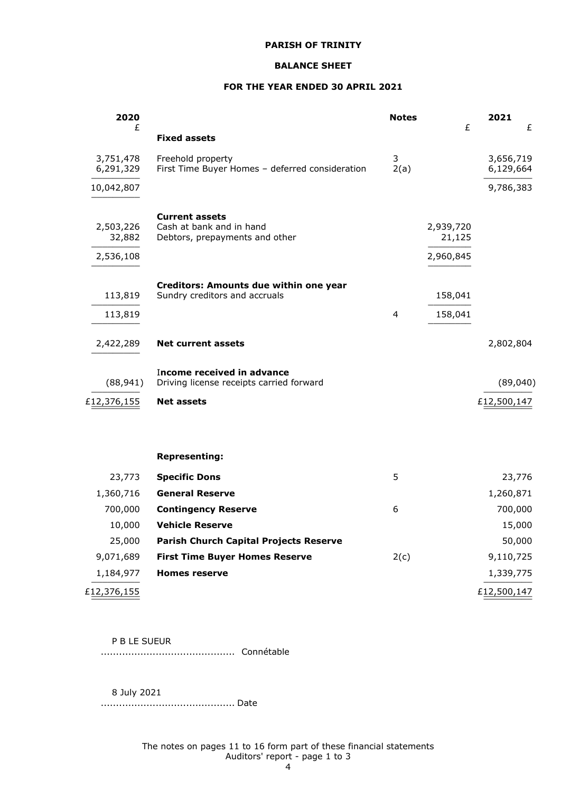#### **BALANCE SHEET**

## **FOR THE YEAR ENDED 30 APRIL 2021**

| 2020<br>£                        |                                                                                     | <b>Notes</b> | £                                | 2021                   | £ |
|----------------------------------|-------------------------------------------------------------------------------------|--------------|----------------------------------|------------------------|---|
|                                  | <b>Fixed assets</b>                                                                 |              |                                  |                        |   |
| 3,751,478<br>6,291,329           | Freehold property<br>First Time Buyer Homes - deferred consideration                | 3<br>2(a)    |                                  | 3,656,719<br>6,129,664 |   |
| 10,042,807                       |                                                                                     |              |                                  | 9,786,383              |   |
| 2,503,226<br>32,882<br>2,536,108 | <b>Current assets</b><br>Cash at bank and in hand<br>Debtors, prepayments and other |              | 2,939,720<br>21,125<br>2,960,845 |                        |   |
| 113,819                          | Creditors: Amounts due within one year<br>Sundry creditors and accruals             |              | 158,041                          |                        |   |
| 113,819                          |                                                                                     | 4            | 158,041                          |                        |   |
| 2,422,289                        | <b>Net current assets</b>                                                           |              |                                  | 2,802,804              |   |
| (88, 941)                        | Income received in advance<br>Driving license receipts carried forward              |              |                                  | (89,040)               |   |
| £12,376,155                      | <b>Net assets</b>                                                                   |              |                                  | £12,500,147            |   |
|                                  | <b>Representing:</b>                                                                |              |                                  |                        |   |
| 23,773                           | <b>Specific Dons</b>                                                                | 5            |                                  | 23,776                 |   |
| 1,360,716                        | <b>General Reserve</b>                                                              |              |                                  | 1,260,871              |   |
| 700,000                          | <b>Contingency Reserve</b>                                                          | 6            |                                  | 700,000                |   |
| 10,000                           | <b>Vehicle Reserve</b>                                                              |              |                                  | 15,000                 |   |
| 25,000                           | <b>Parish Church Capital Projects Reserve</b>                                       |              |                                  | 50,000                 |   |
| 9,071,689                        | <b>First Time Buyer Homes Reserve</b>                                               | 2(c)         |                                  | 9,110,725              |   |
| 1,184,977                        | <b>Homes reserve</b>                                                                |              |                                  | 1,339,775              |   |
| £12,376,155                      |                                                                                     |              |                                  | £12,500,147            |   |

#### P B LE SUEUR

............................................ Connétable

8 July 2021

............................................ Date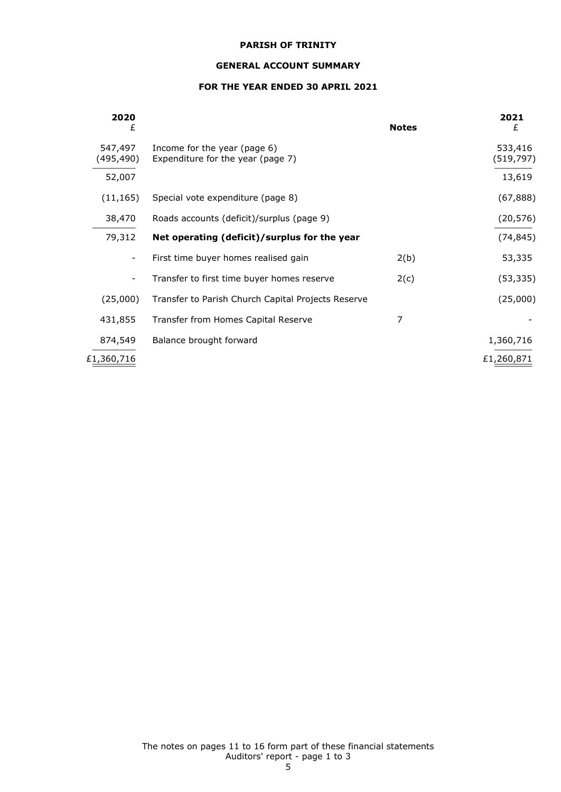## **GENERAL ACCOUNT SUMMARY**

## **FOR THE YEAR ENDED 30 APRIL 2021**

| 2020<br>£            |                                                                   | <b>Notes</b> | 2021<br>£             |
|----------------------|-------------------------------------------------------------------|--------------|-----------------------|
| 547,497<br>(495,490) | Income for the year (page 6)<br>Expenditure for the year (page 7) |              | 533,416<br>(519, 797) |
| 52,007               |                                                                   |              | 13,619                |
| (11, 165)            | Special vote expenditure (page 8)                                 |              | (67, 888)             |
| 38,470               | Roads accounts (deficit)/surplus (page 9)                         |              | (20, 576)             |
| 79,312               | Net operating (deficit)/surplus for the year                      |              | (74, 845)             |
| -                    | First time buyer homes realised gain                              | 2(b)         | 53,335                |
|                      | Transfer to first time buyer homes reserve                        | 2(c)         | (53, 335)             |
| (25,000)             | Transfer to Parish Church Capital Projects Reserve                |              | (25,000)              |
| 431,855              | Transfer from Homes Capital Reserve                               | 7            |                       |
| 874,549              | Balance brought forward                                           |              | 1,360,716             |
| £1,360,716           |                                                                   |              | £1,260,871            |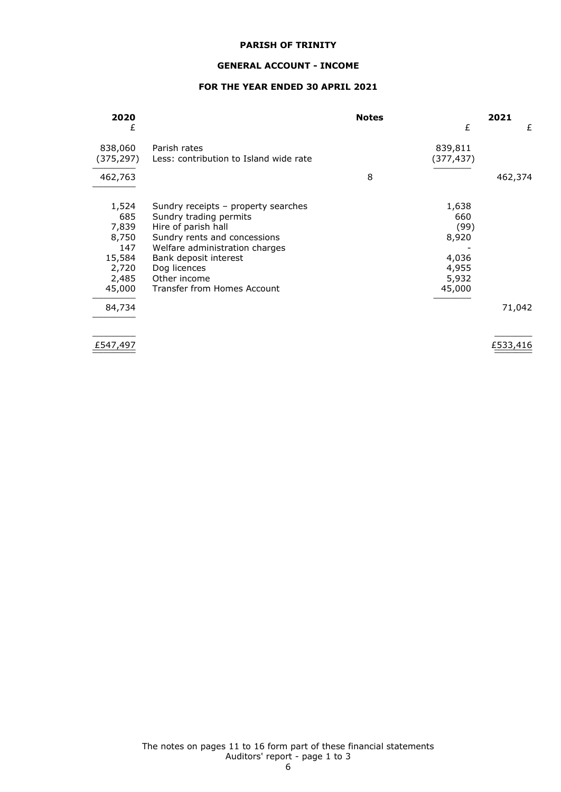#### **GENERAL ACCOUNT - INCOME**

## **FOR THE YEAR ENDED 30 APRIL 2021**

| 2020       |                                        | <b>Notes</b> |           | 2021    |
|------------|----------------------------------------|--------------|-----------|---------|
| £          |                                        |              | £         | £       |
| 838,060    | Parish rates                           |              | 839,811   |         |
| (375, 297) | Less: contribution to Island wide rate |              | (377,437) |         |
| 462,763    |                                        | 8            |           | 462,374 |
| 1,524      | Sundry receipts – property searches    |              | 1,638     |         |
| 685        | Sundry trading permits                 |              | 660       |         |
| 7,839      | Hire of parish hall                    |              | (99)      |         |
| 8,750      | Sundry rents and concessions           |              | 8,920     |         |
| 147        | Welfare administration charges         |              |           |         |
| 15,584     | Bank deposit interest                  |              | 4,036     |         |
| 2,720      | Dog licences                           |              | 4,955     |         |
| 2,485      | Other income                           |              | 5,932     |         |
| 45,000     | Transfer from Homes Account            |              | 45,000    |         |
| 84,734     |                                        |              |           | 71,042  |
|            |                                        |              |           |         |

\_\_\_\_\_\_\_\_ \_\_\_\_\_\_\_\_  $\frac{2547,497}{2}$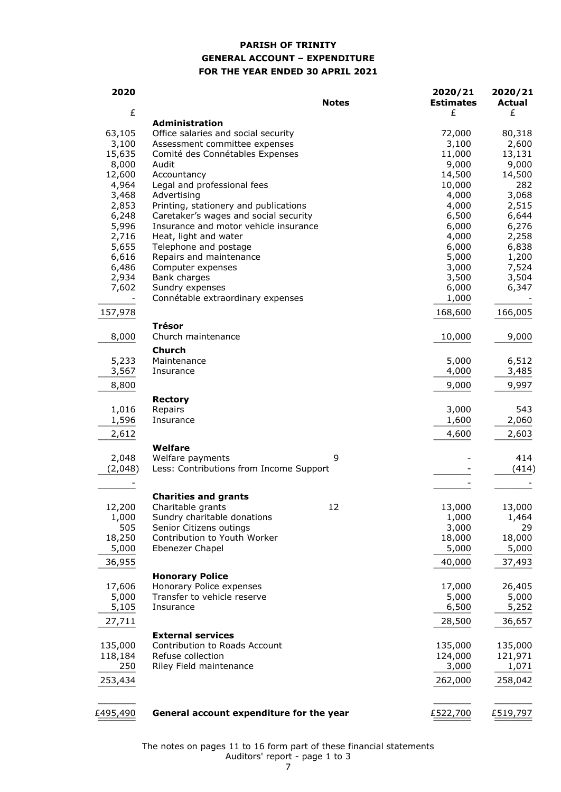## **PARISH OF TRINITY GENERAL ACCOUNT – EXPENDITURE FOR THE YEAR ENDED 30 APRIL 2021**

| 2020     | <b>Notes</b>                             | 2020/21<br><b>Estimates</b> | 2020/21<br><b>Actual</b> |
|----------|------------------------------------------|-----------------------------|--------------------------|
| £        | <b>Administration</b>                    | £                           | £                        |
| 63,105   | Office salaries and social security      | 72,000                      | 80,318                   |
| 3,100    | Assessment committee expenses            | 3,100                       | 2,600                    |
| 15,635   | Comité des Connétables Expenses          | 11,000                      | 13,131                   |
| 8,000    | Audit                                    | 9,000                       | 9,000                    |
| 12,600   | Accountancy                              | 14,500                      | 14,500                   |
| 4,964    | Legal and professional fees              | 10,000                      | 282                      |
| 3,468    | Advertising                              | 4,000                       | 3,068                    |
| 2,853    | Printing, stationery and publications    | 4,000                       | 2,515                    |
| 6,248    | Caretaker's wages and social security    | 6,500                       | 6,644                    |
| 5,996    | Insurance and motor vehicle insurance    | 6,000                       | 6,276                    |
| 2,716    | Heat, light and water                    | 4,000                       | 2,258                    |
| 5,655    | Telephone and postage                    | 6,000                       | 6,838                    |
| 6,616    | Repairs and maintenance                  | 5,000                       | 1,200                    |
| 6,486    | Computer expenses                        | 3,000                       | 7,524                    |
| 2,934    | Bank charges                             | 3,500                       | 3,504                    |
| 7,602    | Sundry expenses                          | 6,000                       | 6,347                    |
|          | Connétable extraordinary expenses        | 1,000                       |                          |
| 157,978  |                                          | 168,600                     | 166,005                  |
| 8,000    | <b>Trésor</b><br>Church maintenance      | 10,000                      | 9,000                    |
|          |                                          |                             |                          |
| 5,233    | <b>Church</b><br>Maintenance             | 5,000                       | 6,512                    |
| 3,567    | Insurance                                | 4,000                       | 3,485                    |
|          |                                          |                             |                          |
| 8,800    |                                          | 9,000                       | 9,997                    |
| 1,016    | <b>Rectory</b><br>Repairs                | 3,000                       | 543                      |
| 1,596    | Insurance                                | 1,600                       | 2,060                    |
| 2,612    |                                          | 4,600                       | 2,603                    |
|          | Welfare                                  |                             |                          |
| 2,048    | Welfare payments<br>9                    |                             | 414                      |
| (2,048)  | Less: Contributions from Income Support  |                             | (414)                    |
|          |                                          |                             |                          |
|          | <b>Charities and grants</b>              |                             |                          |
| 12,200   | 12<br>Charitable grants                  | 13,000                      | 13,000                   |
| 1,000    | Sundry charitable donations              | 1,000                       | 1,464                    |
| 505      | Senior Citizens outings                  | 3,000                       | 29                       |
| 18,250   | Contribution to Youth Worker             | 18,000                      | 18,000                   |
| 5,000    | Ebenezer Chapel                          | 5,000                       | 5,000                    |
| 36,955   |                                          | 40,000                      | 37,493                   |
|          | <b>Honorary Police</b>                   |                             |                          |
| 17,606   | Honorary Police expenses                 | 17,000                      | 26,405                   |
| 5,000    | Transfer to vehicle reserve              | 5,000                       | 5,000                    |
| 5,105    | Insurance                                | 6,500                       | 5,252                    |
| 27,711   |                                          | 28,500                      | 36,657                   |
|          | <b>External services</b>                 |                             |                          |
| 135,000  | Contribution to Roads Account            | 135,000                     | 135,000                  |
| 118,184  | Refuse collection                        | 124,000                     | 121,971                  |
| 250      | Riley Field maintenance                  | 3,000                       | 1,071                    |
| 253,434  |                                          | 262,000                     | 258,042                  |
|          |                                          |                             |                          |
| £495,490 | General account expenditure for the year | £522,700                    | £519,797                 |

The notes on pages 11 to 16 form part of these financial statements Auditors' report - page 1 to 3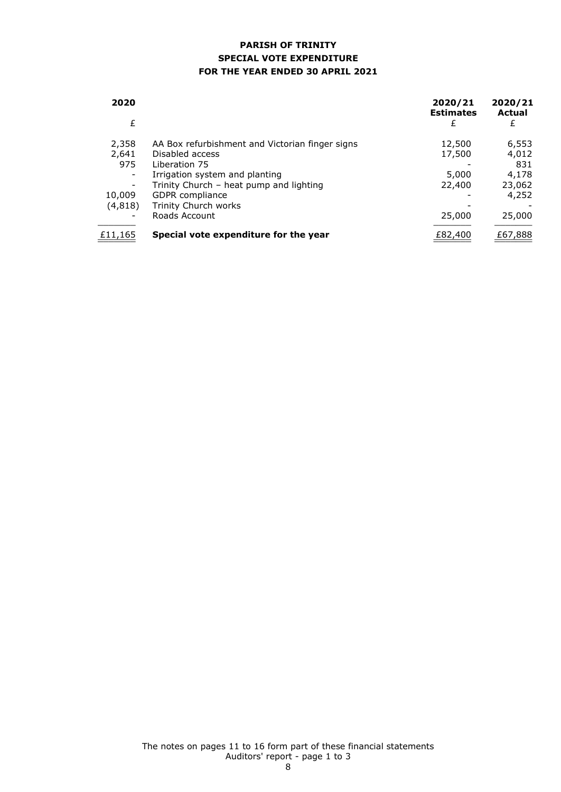## **PARISH OF TRINITY SPECIAL VOTE EXPENDITURE FOR THE YEAR ENDED 30 APRIL 2021**

| 2020    |                                                 | 2020/21<br><b>Estimates</b> | 2020/21<br>Actual |
|---------|-------------------------------------------------|-----------------------------|-------------------|
| £       |                                                 | £                           | £                 |
| 2,358   | AA Box refurbishment and Victorian finger signs | 12,500                      | 6,553             |
| 2,641   | Disabled access                                 | 17,500                      | 4,012             |
| 975     | Liberation 75                                   |                             | 831               |
|         | Irrigation system and planting                  | 5,000                       | 4,178             |
|         | Trinity Church - heat pump and lighting         | 22,400                      | 23,062            |
| 10,009  | <b>GDPR</b> compliance                          |                             | 4,252             |
| (4,818) | Trinity Church works                            |                             |                   |
|         | Roads Account                                   | 25,000                      | 25,000            |
| £11,165 | Special vote expenditure for the year           | £82,400                     | £67,888           |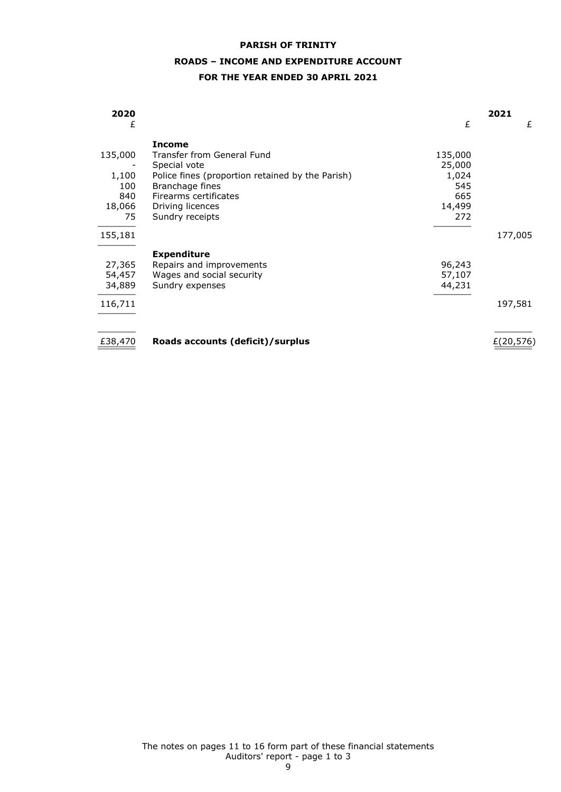## **ROADS – INCOME AND EXPENDITURE ACCOUNT**

## **FOR THE YEAR ENDED 30 APRIL 2021**

| 2020    |                                                  |         | 2021       |
|---------|--------------------------------------------------|---------|------------|
| £       |                                                  | £       | £          |
|         | <b>Income</b>                                    |         |            |
| 135,000 | Transfer from General Fund                       | 135,000 |            |
|         | Special vote                                     | 25,000  |            |
| 1,100   | Police fines (proportion retained by the Parish) | 1,024   |            |
| 100     | Branchage fines                                  | 545     |            |
| 840     | Firearms certificates                            | 665     |            |
| 18,066  | Driving licences                                 | 14,499  |            |
| 75      | Sundry receipts                                  | 272     |            |
| 155,181 |                                                  |         | 177,005    |
|         | <b>Expenditure</b>                               |         |            |
| 27,365  | Repairs and improvements                         | 96,243  |            |
| 54,457  | Wages and social security                        | 57,107  |            |
| 34,889  | Sundry expenses                                  | 44,231  |            |
| 116,711 |                                                  |         | 197,581    |
|         |                                                  |         |            |
| £38,470 | Roads accounts (deficit)/surplus                 |         | E(20, 576) |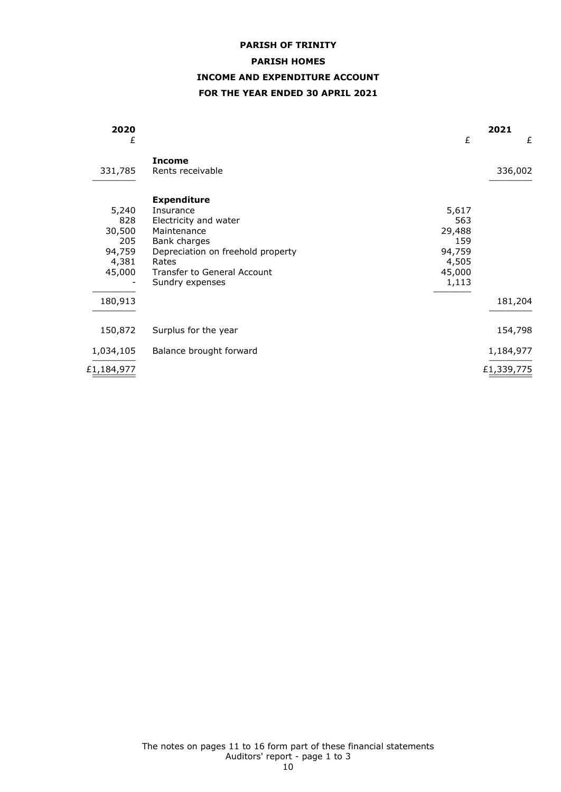#### **PARISH HOMES**

## **INCOME AND EXPENDITURE ACCOUNT**

## **FOR THE YEAR ENDED 30 APRIL 2021**

| 2020<br>£  |                                   | £      | 2021<br>£  |
|------------|-----------------------------------|--------|------------|
| 331,785    | <b>Income</b><br>Rents receivable |        | 336,002    |
|            | <b>Expenditure</b>                |        |            |
| 5,240      | Insurance                         | 5,617  |            |
| 828        | Electricity and water             | 563    |            |
| 30,500     | Maintenance                       | 29,488 |            |
| 205        | Bank charges                      | 159    |            |
| 94,759     | Depreciation on freehold property | 94,759 |            |
| 4,381      | Rates                             | 4,505  |            |
| 45,000     | Transfer to General Account       | 45,000 |            |
|            | Sundry expenses                   | 1,113  |            |
| 180,913    |                                   |        | 181,204    |
| 150,872    | Surplus for the year              |        | 154,798    |
| 1,034,105  | Balance brought forward           |        | 1,184,977  |
| £1,184,977 |                                   |        | £1,339,775 |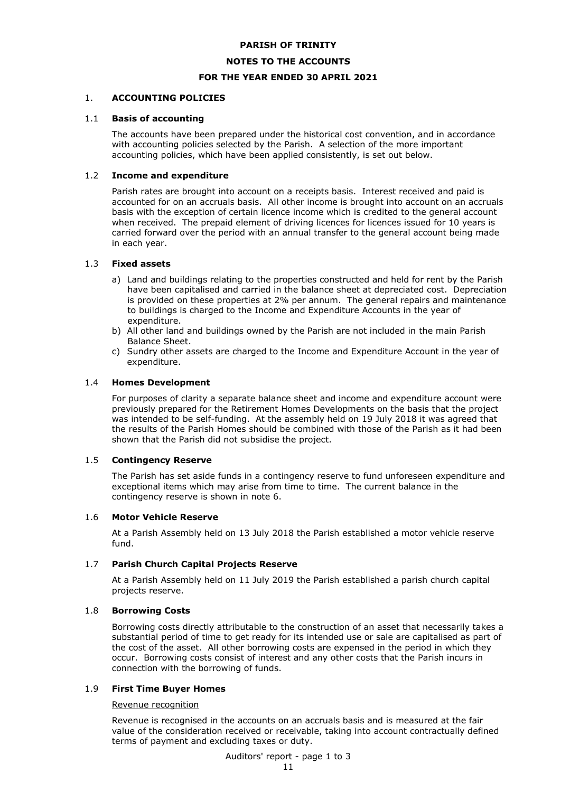#### **NOTES TO THE ACCOUNTS**

## **FOR THE YEAR ENDED 30 APRIL 2021**

#### 1. **ACCOUNTING POLICIES**

#### 1.1 **Basis of accounting**

The accounts have been prepared under the historical cost convention, and in accordance with accounting policies selected by the Parish. A selection of the more important accounting policies, which have been applied consistently, is set out below.

### 1.2 **Income and expenditure**

Parish rates are brought into account on a receipts basis. Interest received and paid is accounted for on an accruals basis. All other income is brought into account on an accruals basis with the exception of certain licence income which is credited to the general account when received. The prepaid element of driving licences for licences issued for 10 years is carried forward over the period with an annual transfer to the general account being made in each year.

#### 1.3 **Fixed assets**

- a) Land and buildings relating to the properties constructed and held for rent by the Parish have been capitalised and carried in the balance sheet at depreciated cost. Depreciation is provided on these properties at 2% per annum. The general repairs and maintenance to buildings is charged to the Income and Expenditure Accounts in the year of expenditure.
- b) All other land and buildings owned by the Parish are not included in the main Parish Balance Sheet.
- c) Sundry other assets are charged to the Income and Expenditure Account in the year of expenditure.

#### 1.4 **Homes Development**

For purposes of clarity a separate balance sheet and income and expenditure account were previously prepared for the Retirement Homes Developments on the basis that the project was intended to be self-funding. At the assembly held on 19 July 2018 it was agreed that the results of the Parish Homes should be combined with those of the Parish as it had been shown that the Parish did not subsidise the project.

#### 1.5 **Contingency Reserve**

The Parish has set aside funds in a contingency reserve to fund unforeseen expenditure and exceptional items which may arise from time to time. The current balance in the contingency reserve is shown in note 6.

#### 1.6 **Motor Vehicle Reserve**

At a Parish Assembly held on 13 July 2018 the Parish established a motor vehicle reserve fund.

## 1.7 **Parish Church Capital Projects Reserve**

At a Parish Assembly held on 11 July 2019 the Parish established a parish church capital projects reserve.

### 1.8 **Borrowing Costs**

Borrowing costs directly attributable to the construction of an asset that necessarily takes a substantial period of time to get ready for its intended use or sale are capitalised as part of the cost of the asset. All other borrowing costs are expensed in the period in which they occur. Borrowing costs consist of interest and any other costs that the Parish incurs in connection with the borrowing of funds.

#### 1.9 **First Time Buyer Homes**

Revenue recognition

Revenue is recognised in the accounts on an accruals basis and is measured at the fair value of the consideration received or receivable, taking into account contractually defined terms of payment and excluding taxes or duty.

Auditors' report - page 1 to 3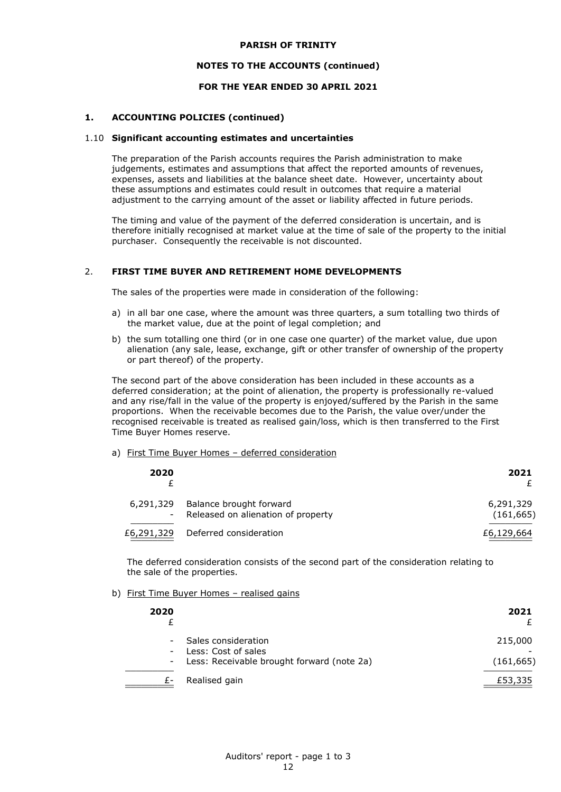## **NOTES TO THE ACCOUNTS (continued)**

## **FOR THE YEAR ENDED 30 APRIL 2021**

#### **1. ACCOUNTING POLICIES (continued)**

#### 1.10 **Significant accounting estimates and uncertainties**

The preparation of the Parish accounts requires the Parish administration to make judgements, estimates and assumptions that affect the reported amounts of revenues, expenses, assets and liabilities at the balance sheet date. However, uncertainty about these assumptions and estimates could result in outcomes that require a material adjustment to the carrying amount of the asset or liability affected in future periods.

The timing and value of the payment of the deferred consideration is uncertain, and is therefore initially recognised at market value at the time of sale of the property to the initial purchaser. Consequently the receivable is not discounted.

#### 2. **FIRST TIME BUYER AND RETIREMENT HOME DEVELOPMENTS**

The sales of the properties were made in consideration of the following:

- a) in all bar one case, where the amount was three quarters, a sum totalling two thirds of the market value, due at the point of legal completion; and
- b) the sum totalling one third (or in one case one quarter) of the market value, due upon alienation (any sale, lease, exchange, gift or other transfer of ownership of the property or part thereof) of the property.

The second part of the above consideration has been included in these accounts as a deferred consideration; at the point of alienation, the property is professionally re-valued and any rise/fall in the value of the property is enjoyed/suffered by the Parish in the same proportions. When the receivable becomes due to the Parish, the value over/under the recognised receivable is treated as realised gain/loss, which is then transferred to the First Time Buyer Homes reserve.

## a) First Time Buyer Homes – deferred consideration

| 2020                                  |                                                               | 2021                    |
|---------------------------------------|---------------------------------------------------------------|-------------------------|
| 6,291,329<br>$\overline{\phantom{a}}$ | Balance brought forward<br>Released on alienation of property | 6,291,329<br>(161, 665) |
| £6,291,329                            | Deferred consideration                                        | £6,129,664              |

The deferred consideration consists of the second part of the consideration relating to the sale of the properties.

## b) First Time Buyer Homes – realised gains

| 2020                               |                                                                                            | 2021                  |
|------------------------------------|--------------------------------------------------------------------------------------------|-----------------------|
| $\overline{\phantom{0}}$<br>$\sim$ | Sales consideration<br>Less: Cost of sales<br>- Less: Receivable brought forward (note 2a) | 215,000<br>(161, 665) |
|                                    | Realised gain                                                                              | £53,335               |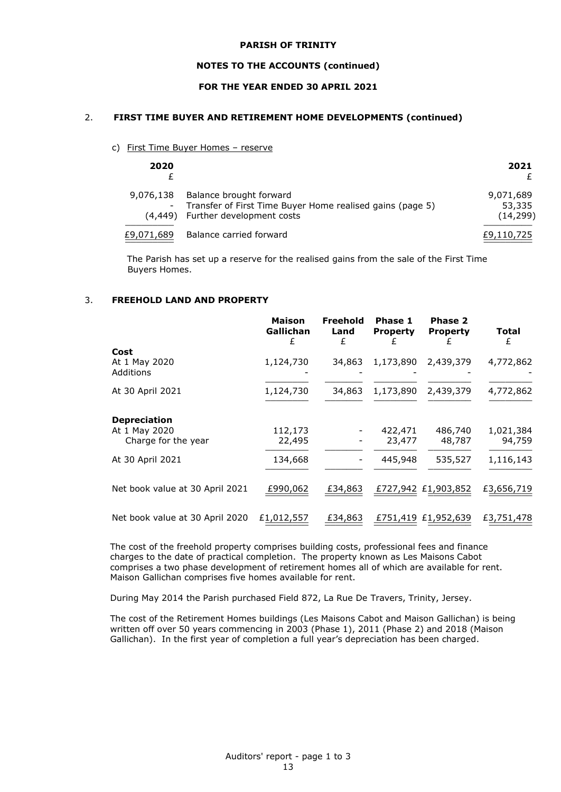#### **NOTES TO THE ACCOUNTS (continued)**

## **FOR THE YEAR ENDED 30 APRIL 2021**

#### 2. **FIRST TIME BUYER AND RETIREMENT HOME DEVELOPMENTS (continued)**

#### c) First Time Buyer Homes – reserve

| 2020       |                                                                                                                             | 2021                             |
|------------|-----------------------------------------------------------------------------------------------------------------------------|----------------------------------|
| 9,076,138  | Balance brought forward<br>- Transfer of First Time Buyer Home realised gains (page 5)<br>(4,449) Further development costs | 9,071,689<br>53,335<br>(14, 299) |
| £9,071,689 | Balance carried forward                                                                                                     | £9,110,725                       |

The Parish has set up a reserve for the realised gains from the sale of the First Time Buyers Homes.

#### 3. **FREEHOLD LAND AND PROPERTY**

|                                                             | <b>Maison</b><br>Gallichan<br>£ | <b>Freehold</b><br>Land<br>£ | Phase 1<br><b>Property</b><br>£ | Phase 2<br><b>Property</b> | Total<br>£          |
|-------------------------------------------------------------|---------------------------------|------------------------------|---------------------------------|----------------------------|---------------------|
| Cost<br>At 1 May 2020<br><b>Additions</b>                   | 1,124,730                       | 34,863                       | 1,173,890                       | 2,439,379                  | 4,772,862           |
| At 30 April 2021                                            | 1,124,730                       | 34,863                       | 1,173,890                       | 2,439,379                  | 4,772,862           |
| <b>Depreciation</b><br>At 1 May 2020<br>Charge for the year | 112,173<br>22,495               |                              | 422,471<br>23,477               | 486,740<br>48,787          | 1,021,384<br>94,759 |
| At 30 April 2021                                            | 134,668                         |                              | 445,948                         | 535,527                    | 1,116,143           |
| Net book value at 30 April 2021                             | £990,062                        | £34,863                      |                                 | £727,942 £1,903,852        | £3,656,719          |
| Net book value at 30 April 2020                             | £1,012,557                      | £34,863                      |                                 | £751,419 £1,952,639        | £3,751,478          |

The cost of the freehold property comprises building costs, professional fees and finance charges to the date of practical completion. The property known as Les Maisons Cabot comprises a two phase development of retirement homes all of which are available for rent. Maison Gallichan comprises five homes available for rent.

During May 2014 the Parish purchased Field 872, La Rue De Travers, Trinity, Jersey.

The cost of the Retirement Homes buildings (Les Maisons Cabot and Maison Gallichan) is being written off over 50 years commencing in 2003 (Phase 1), 2011 (Phase 2) and 2018 (Maison Gallichan). In the first year of completion a full year's depreciation has been charged.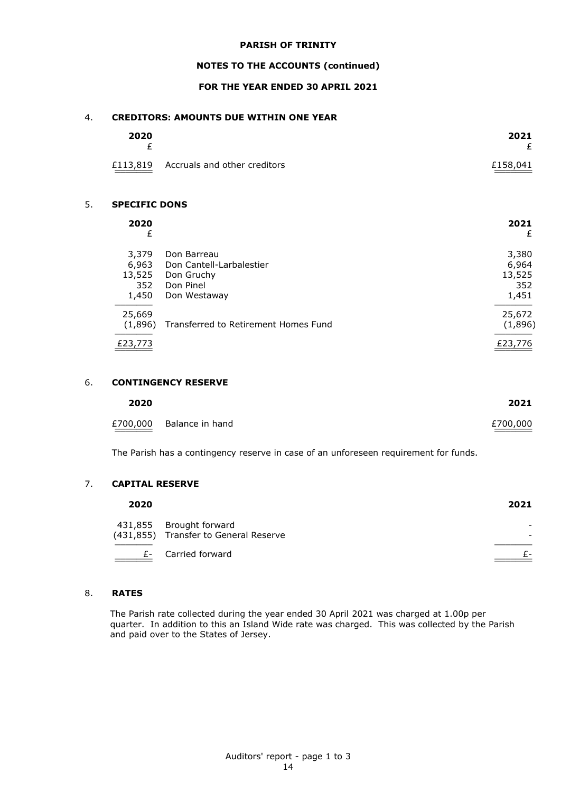## **NOTES TO THE ACCOUNTS (continued)**

## **FOR THE YEAR ENDED 30 APRIL 2021**

## 4. **CREDITORS: AMOUNTS DUE WITHIN ONE YEAR**

| 2020 |                                       | 2021     |
|------|---------------------------------------|----------|
|      | £113,819 Accruals and other creditors | £158,041 |

## 5. **SPECIFIC DONS**

| 2020<br>£                                       | 2021<br>£ |
|-------------------------------------------------|-----------|
| 3,379<br>Don Barreau                            | 3,380     |
| Don Cantell-Larbalestier<br>6,963               | 6,964     |
| 13,525<br>Don Gruchy                            | 13,525    |
| 352<br>Don Pinel                                | 352       |
| 1,450<br>Don Westaway                           | 1,451     |
| 25,669                                          | 25,672    |
| Transferred to Retirement Homes Fund<br>(1,896) | (1,896)   |
| £23,773                                         | £23,776   |

## 6. **CONTINGENCY RESERVE**

| 2020     |                 | 2021     |
|----------|-----------------|----------|
| £700,000 | Balance in hand | £700,000 |

The Parish has a contingency reserve in case of an unforeseen requirement for funds.

## 7. **CAPITAL RESERVE**

| 2020 |                                                                  | 2021 |
|------|------------------------------------------------------------------|------|
|      | 431,855 Brought forward<br>(431,855) Transfer to General Reserve |      |
|      | £- Carried forward                                               |      |

## 8. **RATES**

The Parish rate collected during the year ended 30 April 2021 was charged at 1.00p per quarter. In addition to this an Island Wide rate was charged. This was collected by the Parish and paid over to the States of Jersey.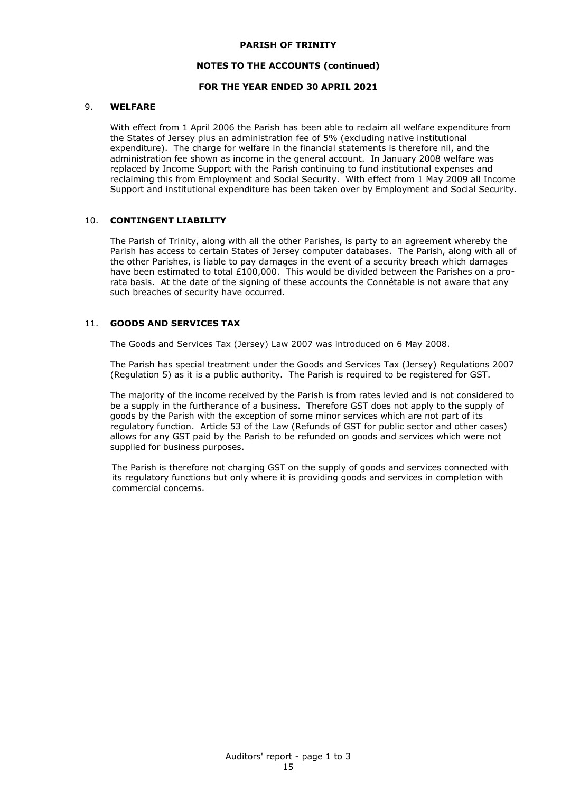## **NOTES TO THE ACCOUNTS (continued)**

### **FOR THE YEAR ENDED 30 APRIL 2021**

#### 9. **WELFARE**

With effect from 1 April 2006 the Parish has been able to reclaim all welfare expenditure from the States of Jersey plus an administration fee of 5% (excluding native institutional expenditure). The charge for welfare in the financial statements is therefore nil, and the administration fee shown as income in the general account. In January 2008 welfare was replaced by Income Support with the Parish continuing to fund institutional expenses and reclaiming this from Employment and Social Security. With effect from 1 May 2009 all Income Support and institutional expenditure has been taken over by Employment and Social Security.

#### 10. **CONTINGENT LIABILITY**

The Parish of Trinity, along with all the other Parishes, is party to an agreement whereby the Parish has access to certain States of Jersey computer databases. The Parish, along with all of the other Parishes, is liable to pay damages in the event of a security breach which damages have been estimated to total  $£100,000$ . This would be divided between the Parishes on a prorata basis. At the date of the signing of these accounts the Connétable is not aware that any such breaches of security have occurred.

## 11. **GOODS AND SERVICES TAX**

The Goods and Services Tax (Jersey) Law 2007 was introduced on 6 May 2008.

The Parish has special treatment under the Goods and Services Tax (Jersey) Regulations 2007 (Regulation 5) as it is a public authority. The Parish is required to be registered for GST.

The majority of the income received by the Parish is from rates levied and is not considered to be a supply in the furtherance of a business. Therefore GST does not apply to the supply of goods by the Parish with the exception of some minor services which are not part of its regulatory function. Article 53 of the Law (Refunds of GST for public sector and other cases) allows for any GST paid by the Parish to be refunded on goods and services which were not supplied for business purposes.

The Parish is therefore not charging GST on the supply of goods and services connected with its regulatory functions but only where it is providing goods and services in completion with commercial concerns.